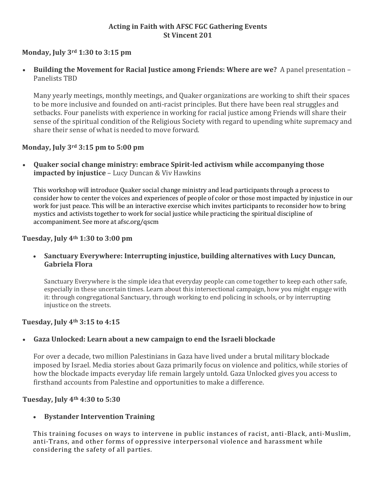## **Acting in Faith with AFSC FGC Gathering Events St Vincent 201**

# **Monday, July 3rd 1:30 to 3:15 pm**

 **Building the Movement for Racial Justice among Friends: Where are we?** A panel presentation – Panelists TBD

Many yearly meetings, monthly meetings, and Quaker organizations are working to shift their spaces to be more inclusive and founded on anti-racist principles. But there have been real struggles and setbacks. Four panelists with experience in working for racial justice among Friends will share their sense of the spiritual condition of the Religious Society with regard to upending white supremacy and share their sense of what is needed to move forward.

### **Monday, July 3rd 3:15 pm to 5:00 pm**

 **Quaker social change ministry: embrace Spirit-led activism while accompanying those impacted by injustice** – Lucy Duncan & Viv Hawkins

This workshop will introduce Quaker social change ministry and lead participants through a process to consider how to center the voices and experiences of people of color or those most impacted by injustice in our work for just peace. This will be an interactive exercise which invites participants to reconsider how to bring mystics and activists together to work for social justice while practicing the spiritual discipline of accompaniment. See more at afsc.org/qscm

#### **Tuesday, July 4th 1:30 to 3:00 pm**

 **Sanctuary Everywhere: Interrupting injustice, building alternatives with Lucy Duncan, Gabriela Flora**

Sanctuary Everywhere is the simple idea that everyday people can come together to keep each other safe, especially in these uncertain times. Learn about this intersectional campaign, how you might engage with it: through congregational Sanctuary, through working to end policing in schools, or by interrupting injustice on the streets.

#### **Tuesday, July 4th 3:15 to 4:15**

### **Gaza Unlocked: Learn about a new campaign to end the Israeli blockade**

For over a decade, two million Palestinians in Gaza have lived under a brutal military blockade imposed by Israel. Media stories about Gaza primarily focus on violence and politics, while stories of how the blockade impacts everyday life remain largely untold. Gaza Unlocked gives you access to firsthand accounts from Palestine and opportunities to make a difference.

#### **Tuesday, July 4th 4:30 to 5:30**

### **Bystander Intervention Training**

This training focuses on ways to intervene in public instances of racist, anti-Black, anti-Muslim, anti-Trans, and other forms of oppressive interpersonal violence and harassment while considering the safety of all parties.